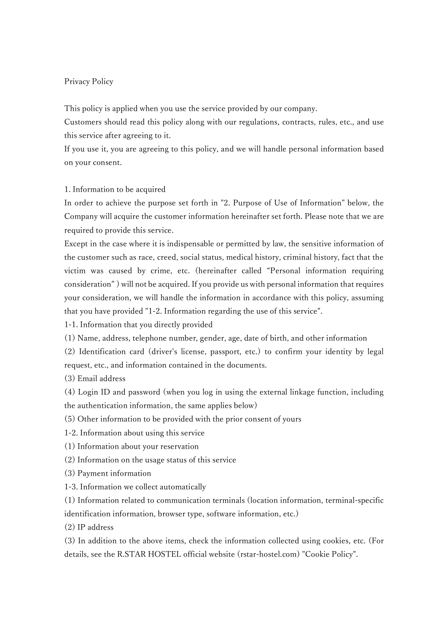# Privacy Policy

This policy is applied when you use the service provided by our company.

Customers should read this policy along with our regulations, contracts, rules, etc., and use this service after agreeing to it.

If you use it, you are agreeing to this policy, and we will handle personal information based on your consent.

# 1. Information to be acquired

In order to achieve the purpose set forth in "2. Purpose of Use of Information" below, the Company will acquire the customer information hereinafter set forth. Please note that we are required to provide this service.

Except in the case where it is indispensable or permitted by law, the sensitive information of the customer such as race, creed, social status, medical history, criminal history, fact that the victim was caused by crime, etc. (hereinafter called "Personal information requiring consideration" ) will not be acquired. If you provide us with personal information that requires your consideration, we will handle the information in accordance with this policy, assuming that you have provided "1-2. Information regarding the use of this service".

1-1. Information that you directly provided

(1) Name, address, telephone number, gender, age, date of birth, and other information

(2) Identification card (driver's license, passport, etc.) to confirm your identity by legal request, etc., and information contained in the documents.

(3) Email address

(4) Login ID and password (when you log in using the external linkage function, including the authentication information, the same applies below)

(5) Other information to be provided with the prior consent of yours

1-2. Information about using this service

- (1) Information about your reservation
- (2) Information on the usage status of this service
- (3) Payment information
- 1-3. Information we collect automatically

(1) Information related to communication terminals (location information, terminal-specific identification information, browser type, software information, etc.)

(2) IP address

(3) In addition to the above items, check the information collected using cookies, etc. (For details, see the R.STAR HOSTEL official website (rstar-hostel.com) "Cookie Policy".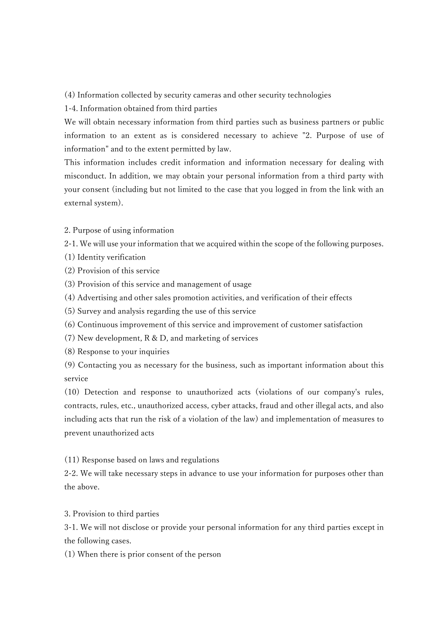(4) Information collected by security cameras and other security technologies

1-4. Information obtained from third parties

We will obtain necessary information from third parties such as business partners or public information to an extent as is considered necessary to achieve "2. Purpose of use of information" and to the extent permitted by law.

This information includes credit information and information necessary for dealing with misconduct. In addition, we may obtain your personal information from a third party with your consent (including but not limited to the case that you logged in from the link with an external system).

2. Purpose of using information

2-1. We will use your information that we acquired within the scope of the following purposes.

- (1) Identity verification
- (2) Provision of this service
- (3) Provision of this service and management of usage
- (4) Advertising and other sales promotion activities, and verification of their effects
- (5) Survey and analysis regarding the use of this service
- (6) Continuous improvement of this service and improvement of customer satisfaction
- (7) New development, R & D, and marketing of services
- (8) Response to your inquiries

(9) Contacting you as necessary for the business, such as important information about this service

(10) Detection and response to unauthorized acts (violations of our company's rules, contracts, rules, etc., unauthorized access, cyber attacks, fraud and other illegal acts, and also including acts that run the risk of a violation of the law) and implementation of measures to prevent unauthorized acts

(11) Response based on laws and regulations

2-2. We will take necessary steps in advance to use your information for purposes other than the above.

3. Provision to third parties

3-1. We will not disclose or provide your personal information for any third parties except in the following cases.

(1) When there is prior consent of the person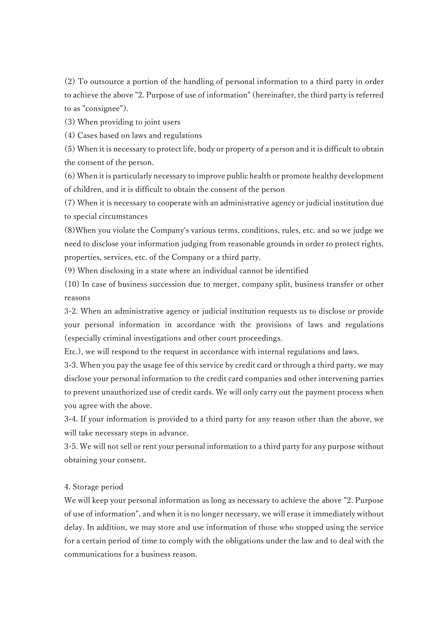(2) To outsource a portion of the handling of personal information to a third party in order to achieve the above "2. Purpose of use of information" (hereinafter, the third party is referred to as "consignee").

(3) When providing to joint users

(4) Cases based on laws and regulations

(5) When it is necessary to protect life, body or property of a person and it is difficult to obtain the consent of the person.

(6) When it is particularly necessary to improve public health or promote healthy development of children, and it is difficult to obtain the consent of the person

(7) When it is necessary to cooperate with an administrative agency or judicial institution due to special circumstances

(8)When you violate the Company's various terms, conditions, rules, etc. and so we judge we need to disclose your information judging from reasonable grounds in order to protect rights, properties, services, etc. of the Company or a third party.

(9) When disclosing in a state where an individual cannot be identified

(10) In case of business succession due to merger, company split, business transfer or other reasons

3-2. When an administrative agency or judicial institution requests us to disclose or provide your personal information in accordance with the provisions of laws and regulations (especially criminal investigations and other court proceedings.

Etc.), we will respond to the request in accordance with internal regulations and laws.

3-3. When you pay the usage fee of this service by credit card or through a third party, we may disclose your personal information to the credit card companies and other intervening parties to prevent unauthorized use of credit cards. We will only carry out the payment process when you agree with the above.

3-4. If your information is provided to a third party for any reason other than the above, we will take necessary steps in advance.

3-5. We will not sell or rent your personal information to a third party for any purpose without obtaining your consent.

## 4. Storage period

We will keep your personal information as long as necessary to achieve the above "2. Purpose of use of information", and when it is no longer necessary, we will erase it immediately without delay. In addition, we may store and use information of those who stopped using the service for a certain period of time to comply with the obligations under the law and to deal with the communications for a business reason.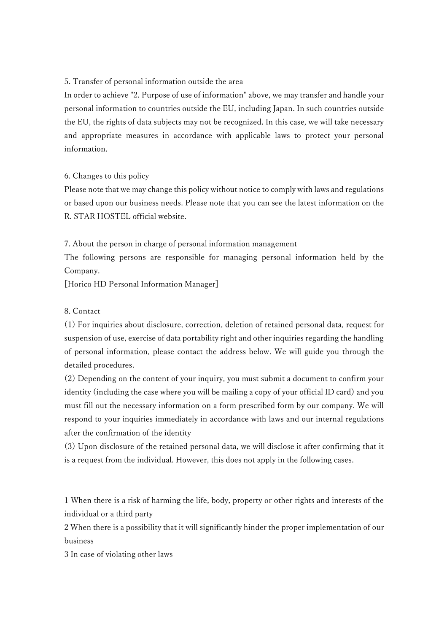#### 5. Transfer of personal information outside the area

In order to achieve "2. Purpose of use of information" above, we may transfer and handle your personal information to countries outside the EU, including Japan. In such countries outside the EU, the rights of data subjects may not be recognized. In this case, we will take necessary and appropriate measures in accordance with applicable laws to protect your personal information.

## 6. Changes to this policy

Please note that we may change this policy without notice to comply with laws and regulations or based upon our business needs. Please note that you can see the latest information on the R. STAR HOSTEL official website.

7. About the person in charge of personal information management

The following persons are responsible for managing personal information held by the Company.

[Horico HD Personal Information Manager]

### 8. Contact

(1) For inquiries about disclosure, correction, deletion of retained personal data, request for suspension of use, exercise of data portability right and other inquiries regarding the handling of personal information, please contact the address below. We will guide you through the detailed procedures.

(2) Depending on the content of your inquiry, you must submit a document to confirm your identity (including the case where you will be mailing a copy of your official ID card) and you must fill out the necessary information on a form prescribed form by our company. We will respond to your inquiries immediately in accordance with laws and our internal regulations after the confirmation of the identity

(3) Upon disclosure of the retained personal data, we will disclose it after confirming that it is a request from the individual. However, this does not apply in the following cases.

1 When there is a risk of harming the life, body, property or other rights and interests of the individual or a third party

2 When there is a possibility that it will significantly hinder the proper implementation of our business

3 In case of violating other laws